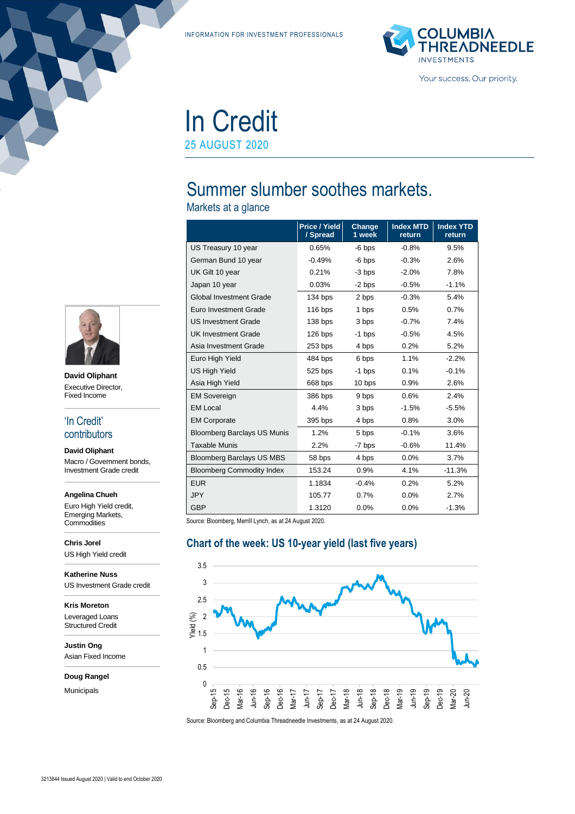INFORMATION FOR INVESTMENT PROFESSIONALS



# In Credit 25 AUGUST 2020

# Summer slumber soothes markets.

Markets at a glance

|                                    | Price / Yield<br>/ Spread | Change<br>1 week | <b>Index MTD</b><br>return | <b>Index YTD</b><br>return |
|------------------------------------|---------------------------|------------------|----------------------------|----------------------------|
| US Treasury 10 year                | 0.65%                     | $-6$ bps         | $-0.8%$                    | 9.5%                       |
| German Bund 10 year                | $-0.49%$                  | $-6$ bps         | $-0.3%$                    | 2.6%                       |
| UK Gilt 10 year                    | 0.21%                     | -3 bps           | $-2.0%$                    | 7.8%                       |
| Japan 10 year                      | 0.03%                     | -2 bps           | $-0.5%$                    | $-1.1%$                    |
| <b>Global Investment Grade</b>     | 134 bps                   | 2 bps            | $-0.3%$                    | 5.4%                       |
| Euro Investment Grade              | $116$ bps                 | 1 bps            | 0.5%                       | 0.7%                       |
| <b>US Investment Grade</b>         | 138 bps                   | 3 bps            | $-0.7%$                    | 7.4%                       |
| <b>UK Investment Grade</b>         | 126 bps                   | -1 bps           | $-0.5%$                    | 4.5%                       |
| Asia Investment Grade              | 253 bps                   | 4 bps            | 0.2%                       | 5.2%                       |
| Euro High Yield                    | 484 bps                   | 6 bps            | 1.1%                       | $-2.2%$                    |
| <b>US High Yield</b>               | 525 bps                   | -1 bps           | 0.1%                       | $-0.1%$                    |
| Asia High Yield                    | 668 bps                   | 10 bps           | 0.9%                       | 2.6%                       |
| <b>EM Sovereign</b>                | 386 bps                   | 9 bps            | 0.6%                       | 2.4%                       |
| <b>EM Local</b>                    | 4.4%                      | 3 bps            | $-1.5%$                    | $-5.5%$                    |
| <b>EM Corporate</b>                | 395 bps                   | 4 bps            | 0.8%                       | 3.0%                       |
| <b>Bloomberg Barclays US Munis</b> | 1.2%                      | 5 bps            | $-0.1%$                    | 3.6%                       |
| <b>Taxable Munis</b>               | 2.2%                      | -7 bps           | $-0.6%$                    | 11.4%                      |
| <b>Bloomberg Barclays US MBS</b>   | 58 bps                    | 4 bps            | 0.0%                       | 3.7%                       |
| <b>Bloomberg Commodity Index</b>   | 153.24                    | 0.9%             | 4.1%                       | $-11.3%$                   |
| <b>EUR</b>                         | 1.1834                    | $-0.4%$          | 0.2%                       | 5.2%                       |
| <b>JPY</b>                         | 105.77                    | 0.7%             | 0.0%                       | 2.7%                       |
| <b>GBP</b>                         | 1.3120                    | 0.0%             | 0.0%                       | $-1.3%$                    |

Source: Bloomberg, Merrill Lynch, as at 24 August 2020.

#### **Chart of the week: US 10-year yield (last five years)**





#### **David Oliphant**

Macro / Government bonds,

#### **Angelina Chueh**

Euro High Yield credit, Emerging Markets, **Commodities** 

**Chris Jorel** US High Yield credit

**Katherine Nuss** US Investment Grade credit

**Kris Moreton** Leveraged Loans

Structured Credit

**Justin Ong** Asian Fixed Income

#### **Doug Rangel**

Municipals



## 'In Credit' contributors

Investment Grade credit

3213844 Issued August 2020 | Valid to end October 2020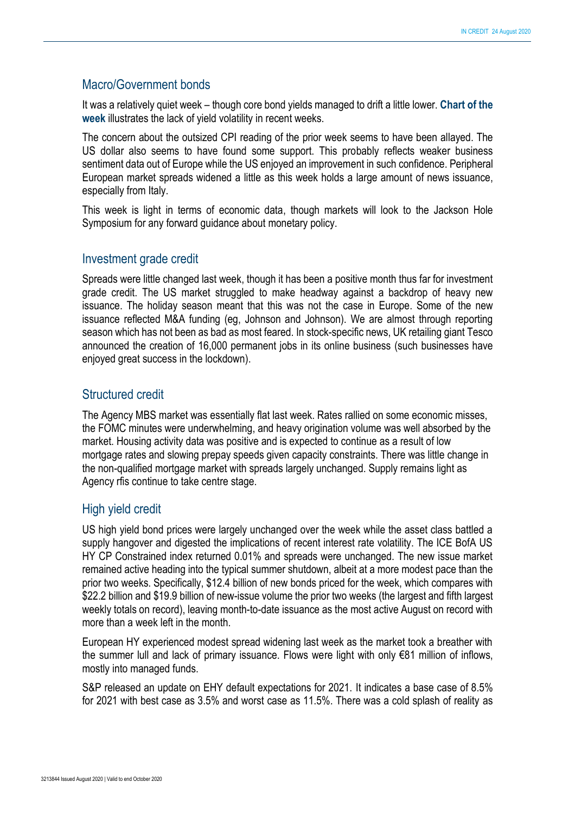#### Macro/Government bonds

It was a relatively quiet week – though core bond yields managed to drift a little lower. **Chart of the week** illustrates the lack of yield volatility in recent weeks.

The concern about the outsized CPI reading of the prior week seems to have been allayed. The US dollar also seems to have found some support. This probably reflects weaker business sentiment data out of Europe while the US enjoyed an improvement in such confidence. Peripheral European market spreads widened a little as this week holds a large amount of news issuance, especially from Italy.

This week is light in terms of economic data, though markets will look to the Jackson Hole Symposium for any forward guidance about monetary policy.

#### Investment grade credit

Spreads were little changed last week, though it has been a positive month thus far for investment grade credit. The US market struggled to make headway against a backdrop of heavy new issuance. The holiday season meant that this was not the case in Europe. Some of the new issuance reflected M&A funding (eg, Johnson and Johnson). We are almost through reporting season which has not been as bad as most feared. In stock-specific news, UK retailing giant Tesco announced the creation of 16,000 permanent jobs in its online business (such businesses have enjoyed great success in the lockdown).

#### Structured credit

The Agency MBS market was essentially flat last week. Rates rallied on some economic misses, the FOMC minutes were underwhelming, and heavy origination volume was well absorbed by the market. Housing activity data was positive and is expected to continue as a result of low mortgage rates and slowing prepay speeds given capacity constraints. There was little change in the non-qualified mortgage market with spreads largely unchanged. Supply remains light as Agency rfis continue to take centre stage.

## High yield credit

US high yield bond prices were largely unchanged over the week while the asset class battled a supply hangover and digested the implications of recent interest rate volatility. The ICE BofA US HY CP Constrained index returned 0.01% and spreads were unchanged. The new issue market remained active heading into the typical summer shutdown, albeit at a more modest pace than the prior two weeks. Specifically, \$12.4 billion of new bonds priced for the week, which compares with \$22.2 billion and \$19.9 billion of new-issue volume the prior two weeks (the largest and fifth largest weekly totals on record), leaving month-to-date issuance as the most active August on record with more than a week left in the month.

European HY experienced modest spread widening last week as the market took a breather with the summer lull and lack of primary issuance. Flows were light with only €81 million of inflows, mostly into managed funds.

S&P released an update on EHY default expectations for 2021. It indicates a base case of 8.5% for 2021 with best case as 3.5% and worst case as 11.5%. There was a cold splash of reality as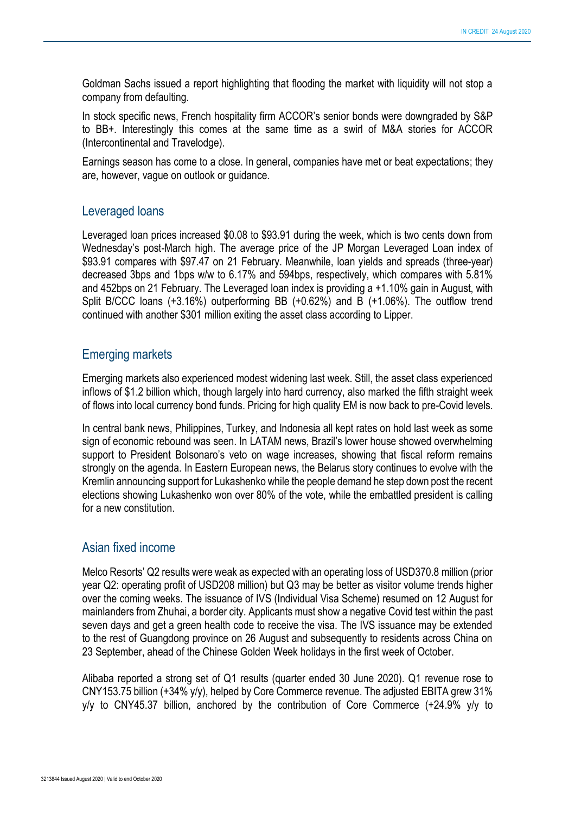Goldman Sachs issued a report highlighting that flooding the market with liquidity will not stop a company from defaulting.

In stock specific news, French hospitality firm ACCOR's senior bonds were downgraded by S&P to BB+. Interestingly this comes at the same time as a swirl of M&A stories for ACCOR (Intercontinental and Travelodge).

Earnings season has come to a close. In general, companies have met or beat expectations; they are, however, vague on outlook or guidance.

#### Leveraged loans

Leveraged loan prices increased \$0.08 to \$93.91 during the week, which is two cents down from Wednesday's post-March high. The average price of the JP Morgan Leveraged Loan index of \$93.91 compares with \$97.47 on 21 February. Meanwhile, loan yields and spreads (three-year) decreased 3bps and 1bps w/w to 6.17% and 594bps, respectively, which compares with 5.81% and 452bps on 21 February. The Leveraged loan index is providing a +1.10% gain in August, with Split B/CCC loans (+3.16%) outperforming BB (+0.62%) and B (+1.06%). The outflow trend continued with another \$301 million exiting the asset class according to Lipper.

## Emerging markets

Emerging markets also experienced modest widening last week. Still, the asset class experienced inflows of \$1.2 billion which, though largely into hard currency, also marked the fifth straight week of flows into local currency bond funds. Pricing for high quality EM is now back to pre-Covid levels.

In central bank news, Philippines, Turkey, and Indonesia all kept rates on hold last week as some sign of economic rebound was seen. In LATAM news, Brazil's lower house showed overwhelming support to President Bolsonaro's veto on wage increases, showing that fiscal reform remains strongly on the agenda. In Eastern European news, the Belarus story continues to evolve with the Kremlin announcing support for Lukashenko while the people demand he step down post the recent elections showing Lukashenko won over 80% of the vote, while the embattled president is calling for a new constitution.

## Asian fixed income

Melco Resorts' Q2 results were weak as expected with an operating loss of USD370.8 million (prior year Q2: operating profit of USD208 million) but Q3 may be better as visitor volume trends higher over the coming weeks. The issuance of IVS (Individual Visa Scheme) resumed on 12 August for mainlanders from Zhuhai, a border city. Applicants must show a negative Covid test within the past seven days and get a green health code to receive the visa. The IVS issuance may be extended to the rest of Guangdong province on 26 August and subsequently to residents across China on 23 September, ahead of the Chinese Golden Week holidays in the first week of October.

Alibaba reported a strong set of Q1 results (quarter ended 30 June 2020). Q1 revenue rose to CNY153.75 billion (+34% y/y), helped by Core Commerce revenue. The adjusted EBITA grew 31% y/y to CNY45.37 billion, anchored by the contribution of Core Commerce (+24.9% y/y to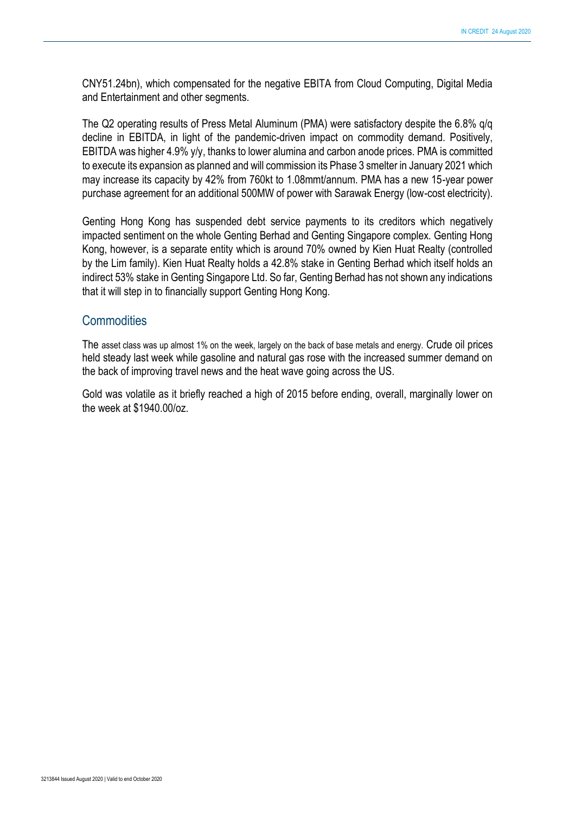CNY51.24bn), which compensated for the negative EBITA from Cloud Computing, Digital Media and Entertainment and other segments.

The Q2 operating results of Press Metal Aluminum (PMA) were satisfactory despite the 6.8% q/q decline in EBITDA, in light of the pandemic-driven impact on commodity demand. Positively, EBITDA was higher 4.9% y/y, thanks to lower alumina and carbon anode prices. PMA is committed to execute its expansion as planned and will commission its Phase 3 smelter in January 2021 which may increase its capacity by 42% from 760kt to 1.08mmt/annum. PMA has a new 15-year power purchase agreement for an additional 500MW of power with Sarawak Energy (low-cost electricity).

Genting Hong Kong has suspended debt service payments to its creditors which negatively impacted sentiment on the whole Genting Berhad and Genting Singapore complex. Genting Hong Kong, however, is a separate entity which is around 70% owned by Kien Huat Realty (controlled by the Lim family). Kien Huat Realty holds a 42.8% stake in Genting Berhad which itself holds an indirect 53% stake in Genting Singapore Ltd. So far, Genting Berhad has not shown any indications that it will step in to financially support Genting Hong Kong.

#### **Commodities**

The asset class was up almost 1% on the week, largely on the back of base metals and energy. Crude oil prices held steady last week while gasoline and natural gas rose with the increased summer demand on the back of improving travel news and the heat wave going across the US.

Gold was volatile as it briefly reached a high of 2015 before ending, overall, marginally lower on the week at \$1940.00/oz.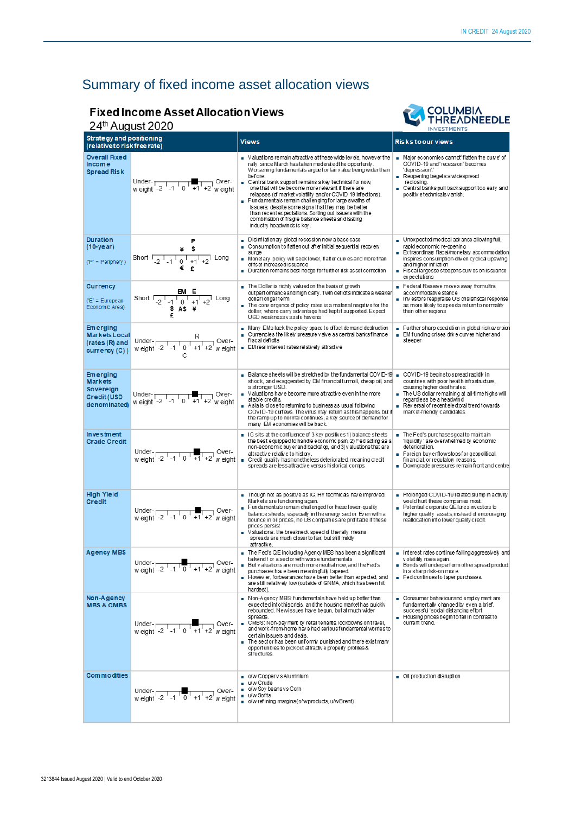# Summary of fixed income asset allocation views

## **Fixed Income Asset Allocation Views**

#### 24th August 2020



| 44<br>Auyust ZUZU                                                                    |                                                                                                      |                                                                                                                                                                                                                                                                                                                                                                                                                                                                                                                                                                                                                                                 | <b>INVESTMENTS</b>                                                                                                                                                                                                                                           |
|--------------------------------------------------------------------------------------|------------------------------------------------------------------------------------------------------|-------------------------------------------------------------------------------------------------------------------------------------------------------------------------------------------------------------------------------------------------------------------------------------------------------------------------------------------------------------------------------------------------------------------------------------------------------------------------------------------------------------------------------------------------------------------------------------------------------------------------------------------------|--------------------------------------------------------------------------------------------------------------------------------------------------------------------------------------------------------------------------------------------------------------|
| <b>Strategy and positioning</b><br>(relative to risk free rate)                      |                                                                                                      | <b>Views</b>                                                                                                                                                                                                                                                                                                                                                                                                                                                                                                                                                                                                                                    | <b>Risks to our views</b>                                                                                                                                                                                                                                    |
| <b>Overall Fixed</b><br><b>Income</b><br><b>Spread Risk</b>                          |                                                                                                      | Ualuations remain attractive at these wide levels, however the<br>rally since March has taken moderated the opportunity.<br>Worsening fundamentals argue for fair value being wider than<br>bef ore.<br>■ Central bank support remains a key technical for now,<br>one that will be become more relevant if there are<br>relapses (of market volatility and/or COVID 19 infections).<br>Fundamentals remain challenging for large swaths of<br>issuers, despite some signs that they may be better<br>than recent expectations. Sorting out issuers with the<br>combination of fragile balance sheets and lasting<br>industry headwinds is key. | Major economies cannot' flatten the curve' of<br>COVID-19 and 'recession' becomes<br>'depression'.'<br>Reopening begets a widespread<br>reclosing.<br>Central banks pull back support too early and<br>positiv etechnicals v anish.                          |
| <b>Duration</b><br>$(10 - year)$<br>$(P' = Periphery)$                               | P<br>¥ \$<br>Short $\frac{1}{2}$ $\frac{1}{2}$ $\frac{1}{0}$ $\frac{1}{2}$ $\frac{1}{2}$ Long<br>€£  | Disinflationary global recession now a base case<br>Consumption to flatten out after initial sequential recovery<br>m.<br>surge<br>Monetary policy will seek lower, flatter curves and more than<br>of fset increased is suance<br>Duration remains best hedge forfurther risk asset correction                                                                                                                                                                                                                                                                                                                                                 | Unexpected medical advance allowing full,<br>rapid economic re-opening<br>Extraordinary fiscal/monetary accommodation<br>inspires consumption-driven cyclical upswing<br>and higher inflation<br>Fiscal largesse steepens curves on issuance<br>expectations |
| <b>Currency</b><br>$(E)$ = European<br>Economic Area)                                | EM E<br>S A S H<br>£                                                                                 | The Dollar is richly valued on the basis of growth<br>outperformance and high carry. Twin deficits indicate a weaker<br>dollarlongerterm<br>The convergence of policy rates is a material negative for the<br>dollar, where carry advantage had kept it supported. Expect<br>USD weaknessyssafe havens.                                                                                                                                                                                                                                                                                                                                         | Federal Reserve moves away from ultra<br>accommodative stance<br>Investors reappraise US crisis/fiscal response<br>as more likely to speeda returnto normality<br>then other regions                                                                         |
| <b>Emerging</b><br><b>Markets Local</b><br>(rates (R) and<br>currency (C))           | Under- $\frac{R}{w \text{ eight } -2 \cdot 1 \cdot 1 \cdot 0 \cdot 1 \cdot 1 \cdot 1 \cdot 2}$ over- | Many EMs lack the policy space to offset demand destruction<br>■ Currencies the likely pressure valve as central banks finance<br>fiscal deficits<br>EM real interest rates relatively attractive                                                                                                                                                                                                                                                                                                                                                                                                                                               | Further sharp escalation in global risk aversion<br>EM funding crises drive curves higher and<br>steeper                                                                                                                                                     |
| <b>Emerging</b><br><b>Markets</b><br>Sovereign<br><b>Credit (USD</b><br>denominated) | Under- $\sqrt{2^2 + 1 + 1 + 2}$ Over-<br>weight -2 -1 0 +1 +2 weight                                 | Balance sheets will be stretched by the fundamental COVID-19 $\,$ COVID-19 beginstospread rapidly in $\,$<br>shock, and exaggerated by DM financial turmoil, cheap oil, and<br>a stronger USD.<br>Ualuations have become more attractive even in the more<br>stable credits.<br>Asia is close to returning to business as usual following<br>COVID-19 curfews. The virus may return asthis happens, but if<br>the ramp up to normal continues, a key source of demand for<br>many EM economies will be back.                                                                                                                                    | countries with poor health infrastructure.<br>causing higher deathrates.<br>The US dollar remaining at all-time highs will<br>regardless be a headwind<br>Reversal of recentelectoral trend towards<br>market-friendly candidates.                           |
| <b>Investment</b><br><b>Grade Credit</b>                                             | Under- $\frac{1}{2}$ -1 0 +1 +2 w eight                                                              | ■ IG sits at the confluence of 3 key positives 1) balance sheets<br>the best equipped to handle economic pain, 2) Fed acting as a<br>non-economic buyer and backstop, and 3) valuations that are<br>attractive relative to history.<br>Credit quality has nonetheless deteriorated, meaning credit<br>spreads are less attractive versus historical comps.                                                                                                                                                                                                                                                                                      | ■ The Fed's purchasesgoal to maintain<br>'liquidity' are overwhelmed by economic<br>deterioration.<br>Foreign buy erflow stops for geopolitical,<br>financial, or regulatory reasons.<br>Downgrade pressures remain front and centre                         |
| <b>High Yield</b><br><b>Credit</b>                                                   | Under- $\frac{1}{12}$ -1 0 +1 +2 w eight                                                             | Though not as positive as IG, HY technicals have improved.<br>Markets are functioning again.<br>Fundamentals remain challenged for these lower-quality<br>٠<br>balance sheets, especially in the energy sector. Even with a<br>bounce in oil prices, no US companies are profitable if these<br>prices persist<br>Valuations: the breakneck speed of the rally means<br>spreads are much closer to fair, but still mildly<br>attractive.                                                                                                                                                                                                        | Prolonged COVID-19 related slump in activity<br>would hurt these companies most.<br>Potential corporate QE lures investors to<br>higher quality assets, instead of encouraging<br>reallocation into lower quality credit.                                    |
| <b>Agency MBS</b>                                                                    | Under- $\frac{1}{12}$ -1 $\frac{1}{12}$ +1 +2 w eight                                                | The Fed's QE including Agency MBS has been a significant<br>tailwind f or a sector with worse fundamentals<br>But valuations are much more neutral now, and the Fed's<br>purchases have been meaningfully tapered.<br>Howev er, forbearances have been better than expected, and<br>are still relatively low (outside of GNMA, which has been hit<br>hardest).                                                                                                                                                                                                                                                                                  | Interest rates continue falling aggressively and<br>volatility rises again.<br>Bonds will underperform other spread product<br>in a sharp risk-on move.<br>Fed continues to taper purchases.                                                                 |
| Non-Agency<br><b>MBS &amp; CMBS</b>                                                  | Under- $\frac{1}{10}$ Over-<br>w eight -2 -1 0 +1 +2 w eight                                         | Non-Agency MBS: fundamentals have held up better than<br>expected into this crisis, and the housing market has quickly<br>rebounded. New issues have begun, but at much wider<br>spreads.<br>CMBS: Non-pay ment by retail tenants, lockdowns on travel,<br>and work-from-home have had serious fundamental worries to<br>certain issuers and deals.<br>The sector has been unformly punished and there exist many<br>opportunities to pick out attractive property profiles &<br>structures.                                                                                                                                                    | Consumer behaviour and employ ment are<br>fundamentally changed by even a brief,<br>successful 'social distancing effort<br>Housing prices begin to fall in contrast to<br>current trend.                                                                    |
| <b>Commodities</b>                                                                   | Under-<br>weight -2 -1 0 +1 +2 weight                                                                | o/w Copperv s Aluminium<br>■ u/w Crude<br>o/w Soy beansys Corn<br>u/w Softs<br>o/w refining margins (o/w products, u/w Brent)                                                                                                                                                                                                                                                                                                                                                                                                                                                                                                                   | Oil production disruption                                                                                                                                                                                                                                    |